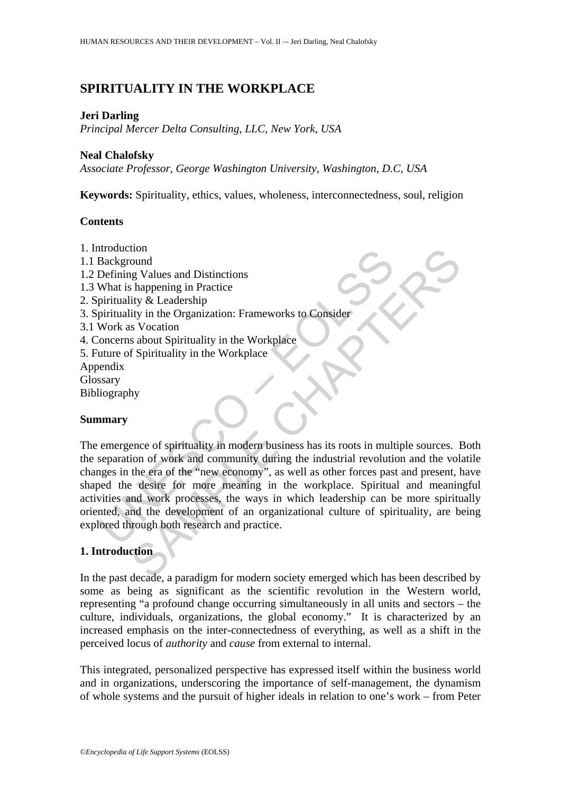# **SPIRITUALITY IN THE WORKPLACE**

#### **Jeri Darling**

*Principal Mercer Delta Consulting, LLC, New York, USA*

#### **Neal Chalofsky**

*Associate Professor, George Washington University, Washington, D.C, USA*

**Keywords:** Spirituality, ethics, values, wholeness, interconnectedness, soul, religion

#### **Contents**

Anackground<br>
Background<br>
Defining Values and Distinctions<br>
What is happening in Practice<br>
pirituality & Leadership<br>
pirituality in the Organization: Frameworks to Consider<br>
Work as Vocation<br>
oncerns about Spirituality in t 1. Introduction 1.1 Background 1.2 Defining Values and Distinctions 1.3 What is happening in Practice 2. Spirituality & Leadership 3. Spirituality in the Organization: Frameworks to Consider 3.1 Work as Vocation 4. Concerns about Spirituality in the Workplace 5. Future of Spirituality in the Workplace Appendix Glossary Bibliography

# **Summary**

toom<br>
sound<br>
sound<br>
sound g Values and Distinctions<br>
ity & Leadership<br>
solved Equalization: Frameworks to Consider<br>
solved in the Organization: Frameworks to Consider<br>
solved in the Workplace<br>
solved Spirituality in the Wo The emergence of spirituality in modern business has its roots in multiple sources. Both the separation of work and community during the industrial revolution and the volatile changes in the era of the "new economy", as well as other forces past and present, have shaped the desire for more meaning in the workplace. Spiritual and meaningful activities and work processes, the ways in which leadership can be more spiritually oriented, and the development of an organizational culture of spirituality, are being explored through both research and practice.

# **1. Introduction**

In the past decade, a paradigm for modern society emerged which has been described by some as being as significant as the scientific revolution in the Western world, representing "a profound change occurring simultaneously in all units and sectors – the culture, individuals, organizations, the global economy." It is characterized by an increased emphasis on the inter-connectedness of everything, as well as a shift in the perceived locus of *authority* and *cause* from external to internal.

This integrated, personalized perspective has expressed itself within the business world and in organizations, underscoring the importance of self-management, the dynamism of whole systems and the pursuit of higher ideals in relation to one's work – from Peter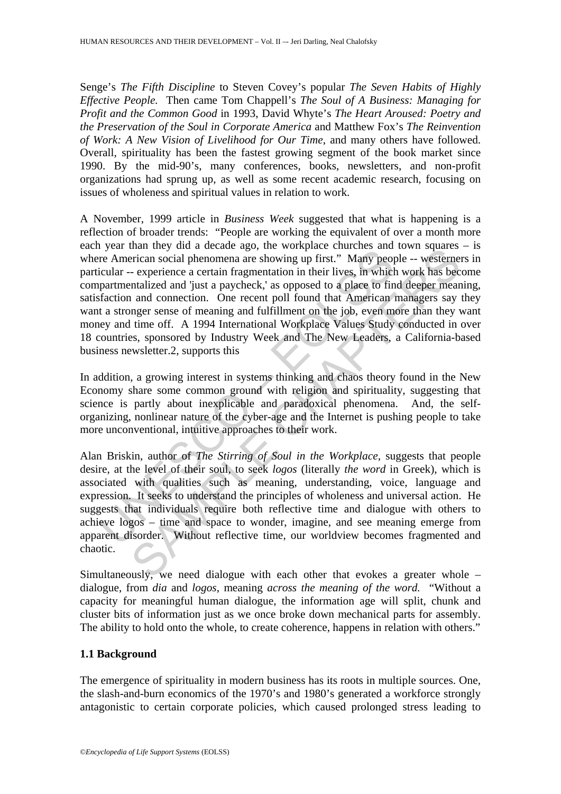Senge's *The Fifth Discipline* to Steven Covey's popular *The Seven Habits of Highly Effective People.* Then came Tom Chappell's *The Soul of A Business: Managing for Profit and the Common Good* in 1993, David Whyte's *The Heart Aroused: Poetry and the Preservation of the Soul in Corporate America* and Matthew Fox's *The Reinvention of Work: A New Vision of Livelihood for Our Time*, and many others have followed. Overall, spirituality has been the fastest growing segment of the book market since 1990. By the mid-90's, many conferences, books, newsletters, and non-profit organizations had sprung up, as well as some recent academic research, focusing on issues of wholeness and spiritual values in relation to work.

*r* see than any data decade ugo, are vorteined the merican social phenomena are showing up first." Many peoplement and connection and onnection and onnection. One recent poll found that American ta stronger sense of mean man lucy dual acteate ago, the workpace functions and row magnet and contract and connect and acteate encomena are showing up first." Many people – westerne – experience a certain fragmentation in their lives, in which wor A November, 1999 article in *Business Week* suggested that what is happening is a reflection of broader trends: "People are working the equivalent of over a month more each year than they did a decade ago, the workplace churches and town squares – is where American social phenomena are showing up first." Many people -- westerners in particular -- experience a certain fragmentation in their lives, in which work has become compartmentalized and 'just a paycheck,' as opposed to a place to find deeper meaning, satisfaction and connection. One recent poll found that American managers say they want a stronger sense of meaning and fulfillment on the job, even more than they want money and time off. A 1994 International Workplace Values Study conducted in over 18 countries, sponsored by Industry Week and The New Leaders, a California-based business newsletter.2, supports this

In addition, a growing interest in systems thinking and chaos theory found in the New Economy share some common ground with religion and spirituality, suggesting that science is partly about inexplicable and paradoxical phenomena. And, the selforganizing, nonlinear nature of the cyber-age and the Internet is pushing people to take more unconventional, intuitive approaches to their work.

Alan Briskin, author of *The Stirring of Soul in the Workplace*, suggests that people desire, at the level of their soul, to seek *logos* (literally *the word* in Greek), which is associated with qualities such as meaning, understanding, voice, language and expression. It seeks to understand the principles of wholeness and universal action. He suggests that individuals require both reflective time and dialogue with others to achieve logos – time and space to wonder, imagine, and see meaning emerge from apparent disorder. Without reflective time, our worldview becomes fragmented and chaotic.

Simultaneously, we need dialogue with each other that evokes a greater whole – dialogue, from *dia* and *logos*, meaning *across the meaning of the word.* "Without a capacity for meaningful human dialogue, the information age will split, chunk and cluster bits of information just as we once broke down mechanical parts for assembly. The ability to hold onto the whole, to create coherence, happens in relation with others."

# **1.1 Background**

The emergence of spirituality in modern business has its roots in multiple sources. One, the slash-and-burn economics of the 1970's and 1980's generated a workforce strongly antagonistic to certain corporate policies, which caused prolonged stress leading to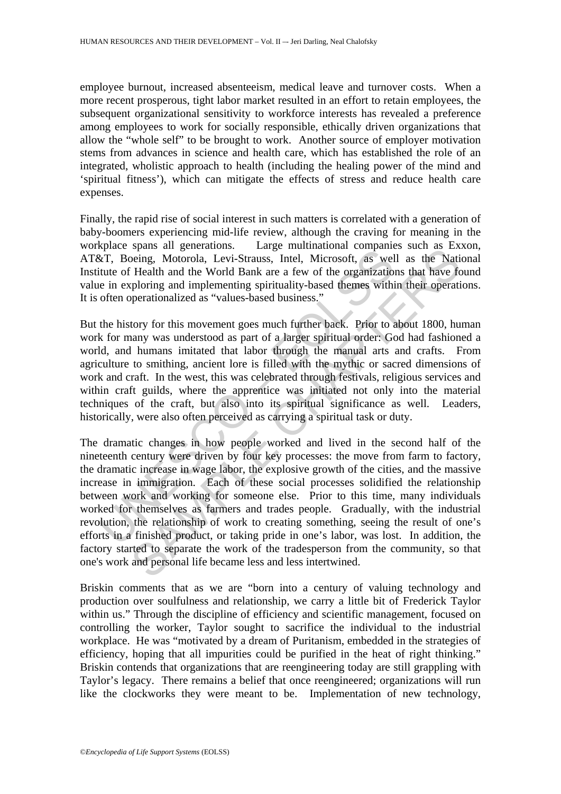employee burnout, increased absenteeism, medical leave and turnover costs. When a more recent prosperous, tight labor market resulted in an effort to retain employees, the subsequent organizational sensitivity to workforce interests has revealed a preference among employees to work for socially responsible, ethically driven organizations that allow the "whole self" to be brought to work. Another source of employer motivation stems from advances in science and health care, which has established the role of an integrated, wholistic approach to health (including the healing power of the mind and 'spiritual fitness'), which can mitigate the effects of stress and reduce health care expenses.

Finally, the rapid rise of social interest in such matters is correlated with a generation of baby-boomers experiencing mid-life review, although the craving for meaning in the workplace spans all generations. Large multinational companies such as Exxon, AT&T, Boeing, Motorola, Levi-Strauss, Intel, Microsoft, as well as the National Institute of Health and the World Bank are a few of the organizations that have found value in exploring and implementing spirituality-based themes within their operations. It is often operationalized as "values-based business."

But the history for this movement goes much further back. Prior to about 1800, human work for many was understood as part of a larger spiritual order: God had fashioned a world, and humans imitated that labor through the manual arts and crafts. From agriculture to smithing, ancient lore is filled with the mythic or sacred dimensions of work and craft. In the west, this was celebrated through festivals, religious services and within craft guilds, where the apprentice was initiated not only into the material techniques of the craft, but also into its spiritual significance as well. Leaders, historically, were also often perceived as carrying a spiritual task or duty.

space of the main generations. The summation computer of the relations of the relation of the relation series in exploring and implementing spirituality-based themes within often operationalized as "values-based business," spans an generatons. Tange manumationar companies such as Exa-<br>speing, Motorola, Levi-Strauss, Intel, Microsoft, as well as the Nati<br>Health and the World Bank are a few of the organizations that have for<br>ploring and implem The dramatic changes in how people worked and lived in the second half of the nineteenth century were driven by four key processes: the move from farm to factory, the dramatic increase in wage labor, the explosive growth of the cities, and the massive increase in immigration. Each of these social processes solidified the relationship between work and working for someone else. Prior to this time, many individuals worked for themselves as farmers and trades people. Gradually, with the industrial revolution, the relationship of work to creating something, seeing the result of one's efforts in a finished product, or taking pride in one's labor, was lost. In addition, the factory started to separate the work of the tradesperson from the community, so that one's work and personal life became less and less intertwined.

Briskin comments that as we are "born into a century of valuing technology and production over soulfulness and relationship, we carry a little bit of Frederick Taylor within us." Through the discipline of efficiency and scientific management, focused on controlling the worker, Taylor sought to sacrifice the individual to the industrial workplace. He was "motivated by a dream of Puritanism, embedded in the strategies of efficiency, hoping that all impurities could be purified in the heat of right thinking." Briskin contends that organizations that are reengineering today are still grappling with Taylor's legacy. There remains a belief that once reengineered; organizations will run like the clockworks they were meant to be. Implementation of new technology,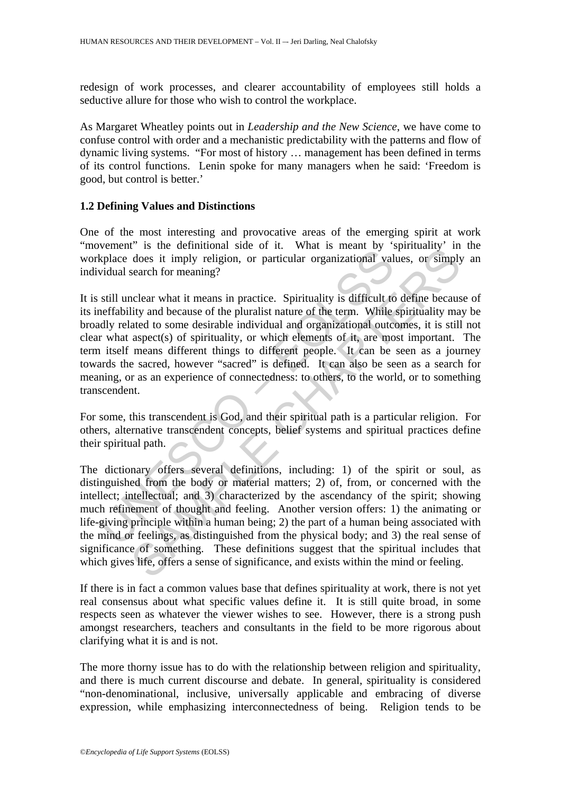redesign of work processes, and clearer accountability of employees still holds a seductive allure for those who wish to control the workplace.

As Margaret Wheatley points out in *Leadership and the New Science*, we have come to confuse control with order and a mechanistic predictability with the patterns and flow of dynamic living systems. "For most of history … management has been defined in terms of its control functions. Lenin spoke for many managers when he said: 'Freedom is good, but control is better.'

# **1.2 Defining Values and Distinctions**

One of the most interesting and provocative areas of the emerging spirit at work "movement" is the definitional side of it. What is meant by 'spirituality' in the workplace does it imply religion, or particular organizational values, or simply an individual search for meaning?

Whence does it imply religion, or particular organizational valuations<br>
wighted does it imply religion, or particular organizational valuation<br>
widual search for meaning?<br>
still unclear what it means in practice. Spiritual It is still unclear what it means in practice. Spirituality is difficult to define because of its ineffability and because of the pluralist nature of the term. While spirituality may be broadly related to some desirable individual and organizational outcomes, it is still not clear what aspect(s) of spirituality, or which elements of it, are most important. The term itself means different things to different people. It can be seen as a journey towards the sacred, however "sacred" is defined. It can also be seen as a search for meaning, or as an experience of connectedness: to others, to the world, or to something transcendent.

For some, this transcendent is God, and their spiritual path is a particular religion. For others, alternative transcendent concepts, belief systems and spiritual practices define their spiritual path.

<sup>1</sup> sue terminonia sue of it. wat is mean by spin analy spin and decay it imply religion, or particular organizational values, or simply search for meaning?<br>
inclear what it means in practice. Spirituality is difficult to The dictionary offers several definitions, including: 1) of the spirit or soul, as distinguished from the body or material matters; 2) of, from, or concerned with the intellect; intellectual; and 3) characterized by the ascendancy of the spirit; showing much refinement of thought and feeling. Another version offers: 1) the animating or life-giving principle within a human being; 2) the part of a human being associated with the mind or feelings, as distinguished from the physical body; and 3) the real sense of significance of something. These definitions suggest that the spiritual includes that which gives life, offers a sense of significance, and exists within the mind or feeling.

If there is in fact a common values base that defines spirituality at work, there is not yet real consensus about what specific values define it. It is still quite broad, in some respects seen as whatever the viewer wishes to see. However, there is a strong push amongst researchers, teachers and consultants in the field to be more rigorous about clarifying what it is and is not.

The more thorny issue has to do with the relationship between religion and spirituality, and there is much current discourse and debate. In general, spirituality is considered "non-denominational, inclusive, universally applicable and embracing of diverse expression, while emphasizing interconnectedness of being. Religion tends to be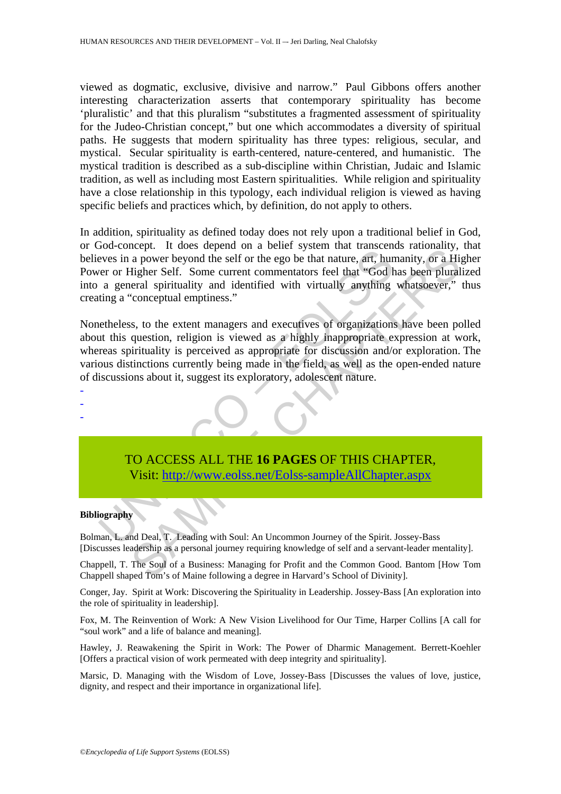viewed as dogmatic, exclusive, divisive and narrow." Paul Gibbons offers another interesting characterization asserts that contemporary spirituality has become 'pluralistic' and that this pluralism "substitutes a fragmented assessment of spirituality for the Judeo-Christian concept," but one which accommodates a diversity of spiritual paths. He suggests that modern spirituality has three types: religious, secular, and mystical. Secular spirituality is earth-centered, nature-centered, and humanistic. The mystical tradition is described as a sub-discipline within Christian, Judaic and Islamic tradition, as well as including most Eastern spiritualities. While religion and spirituality have a close relationship in this typology, each individual religion is viewed as having specific beliefs and practices which, by definition, do not apply to others.

In addition, spirituality as defined today does not rely upon a traditional belief in God, or God-concept. It does depend on a belief system that transcends rationality, that believes in a power beyond the self or the ego be that nature, art, humanity, or a Higher Power or Higher Self. Some current commentators feel that "God has been pluralized into a general spirituality and identified with virtually anything whatsoever," thus creating a "conceptual emptiness."

Solution a power beyond the self or the ego be that nature, art, hundred<br>eves in a power beyond the self or the ego be that nature, art, hundred<br>row or Higher Self. Some current commentators feel that "God b<br>a general spir incominary, and solution are contracted and unincominal variables and the self or the ego be that nature, at t, humanity, or a Higher Self. Some current commentators feel that "God has been plural<br>related a spirituality an Nonetheless, to the extent managers and executives of organizations have been polled about this question, religion is viewed as a highly inappropriate expression at work, whereas spirituality is perceived as appropriate for discussion and/or exploration. The various distinctions currently being made in the field, as well as the open-ended nature of discussions about it, suggest its exploratory, adolescent nature.



#### **Bibliography**

- - -

Bolman, L. and Deal, T. Leading with Soul: An Uncommon Journey of the Spirit. Jossey-Bass [Discusses leadership as a personal journey requiring knowledge of self and a servant-leader mentality].

Chappell, T. The Soul of a Business: Managing for Profit and the Common Good. Bantom [How Tom Chappell shaped Tom's of Maine following a degree in Harvard's School of Divinity].

Conger, Jay. Spirit at Work: Discovering the Spirituality in Leadership. Jossey-Bass [An exploration into the role of spirituality in leadership].

Fox, M. The Reinvention of Work: A New Vision Livelihood for Our Time, Harper Collins [A call for "soul work" and a life of balance and meaning].

Hawley, J. Reawakening the Spirit in Work: The Power of Dharmic Management. Berrett-Koehler [Offers a practical vision of work permeated with deep integrity and spirituality].

Marsic, D. Managing with the Wisdom of Love, Jossey-Bass [Discusses the values of love, justice, dignity, and respect and their importance in organizational life].